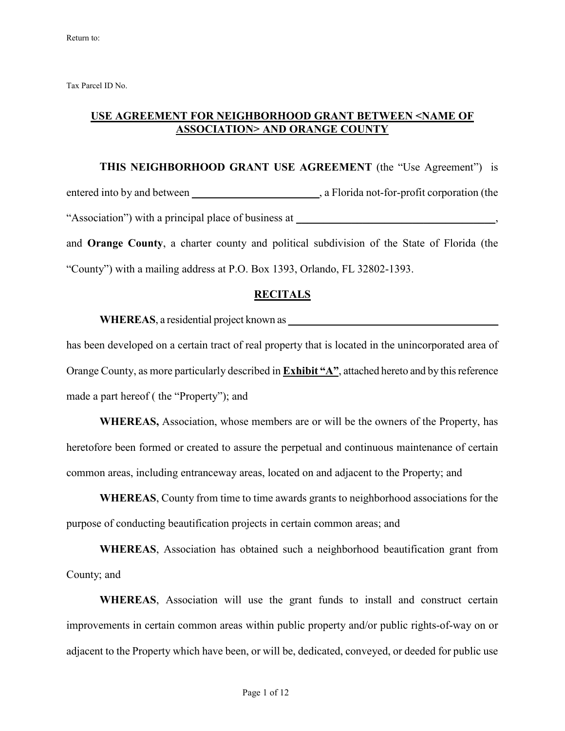Tax Parcel ID No.

## **USE AGREEMENT FOR NEIGHBORHOOD GRANT BETWEEN <NAME OF ASSOCIATION> AND ORANGE COUNTY**

**THIS NEIGHBORHOOD GRANT USE AGREEMENT** (the "Use Agreement") is entered into by and between \_\_\_\_\_\_\_\_\_\_\_\_\_\_\_\_\_\_\_\_\_\_\_\_, a Florida not-for-profit corporation (the "Association") with a principal place of business at \_\_\_\_\_\_\_\_\_\_\_\_\_\_\_\_\_\_\_\_\_\_\_\_\_\_\_, and **Orange County**, a charter county and political subdivision of the State of Florida (the

# "County") with a mailing address at P.O. Box 1393, Orlando, FL 32802-1393.

#### **RECITALS**

**WHEREAS**, a residential project known as **\_\_\_\_\_\_\_\_\_\_\_\_\_\_\_\_\_\_\_\_\_\_\_\_\_\_\_\_\_\_\_\_\_\_\_\_\_\_\_**

has been developed on a certain tract of real property that is located in the unincorporated area of Orange County, as more particularly described in **Exhibit "A"**, attached hereto and by this reference made a part hereof ( the "Property"); and

**WHEREAS,** Association, whose members are or will be the owners of the Property, has heretofore been formed or created to assure the perpetual and continuous maintenance of certain common areas, including entranceway areas, located on and adjacent to the Property; and

**WHEREAS**, County from time to time awards grants to neighborhood associations for the purpose of conducting beautification projects in certain common areas; and

**WHEREAS**, Association has obtained such a neighborhood beautification grant from County; and

**WHEREAS**, Association will use the grant funds to install and construct certain improvements in certain common areas within public property and/or public rights-of-way on or adjacent to the Property which have been, or will be, dedicated, conveyed, or deeded for public use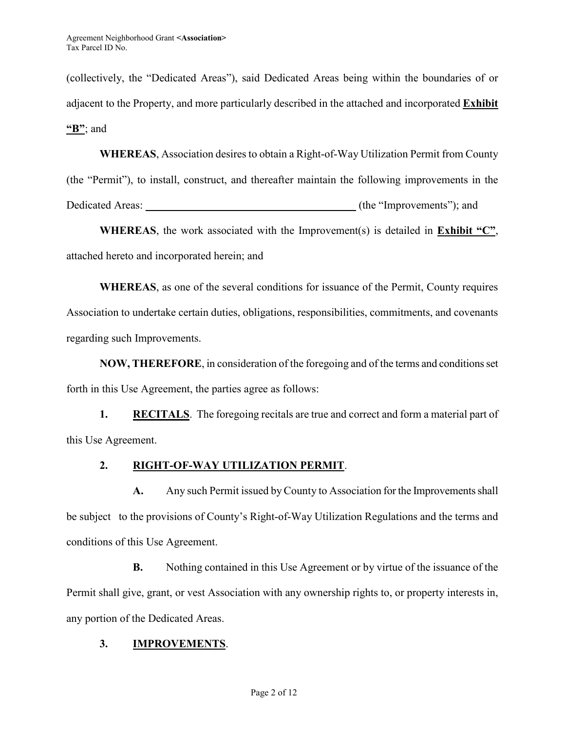(collectively, the "Dedicated Areas"), said Dedicated Areas being within the boundaries of or adjacent to the Property, and more particularly described in the attached and incorporated **Exhibit "B"**; and

**WHEREAS**, Association desires to obtain a Right-of-Way Utilization Permit from County (the "Permit"), to install, construct, and thereafter maintain the following improvements in the Dedicated Areas: **and**  $\alpha$  (the "Improvements"); and

**WHEREAS**, the work associated with the Improvement(s) is detailed in **Exhibit "C"**, attached hereto and incorporated herein; and

**WHEREAS**, as one of the several conditions for issuance of the Permit, County requires Association to undertake certain duties, obligations, responsibilities, commitments, and covenants regarding such Improvements.

**NOW, THEREFORE**, in consideration of the foregoing and of the terms and conditions set forth in this Use Agreement, the parties agree as follows:

**1. RECITALS**. The foregoing recitals are true and correct and form a material part of this Use Agreement.

## **2. RIGHT-OF-WAY UTILIZATION PERMIT**.

A. Any such Permit issued by County to Association for the Improvements shall be subject to the provisions of County's Right-of-Way Utilization Regulations and the terms and conditions of this Use Agreement.

**B.** Nothing contained in this Use Agreement or by virtue of the issuance of the Permit shall give, grant, or vest Association with any ownership rights to, or property interests in, any portion of the Dedicated Areas.

# **3. IMPROVEMENTS**.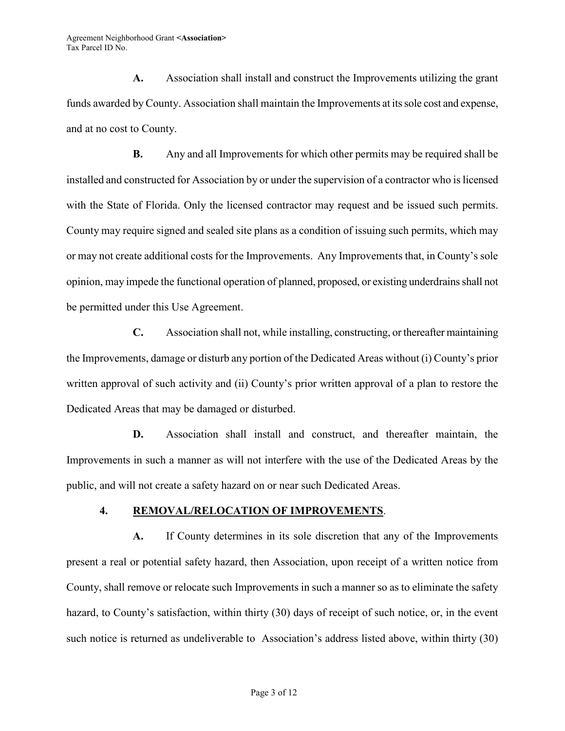**A.** Association shall install and construct the Improvements utilizing the grant funds awarded by County. Association shall maintain the Improvements at its sole cost and expense, and at no cost to County.

**B.** Any and all Improvements for which other permits may be required shall be installed and constructed for Association by or under the supervision of a contractor who is licensed with the State of Florida. Only the licensed contractor may request and be issued such permits. County may require signed and sealed site plans as a condition of issuing such permits, which may or may not create additional costs for the Improvements. Any Improvements that, in County's sole opinion, may impede the functional operation of planned, proposed, or existing underdrains shall not be permitted under this Use Agreement.

**C.** Association shall not, while installing, constructing, or thereafter maintaining the Improvements, damage or disturb any portion of the Dedicated Areas without (i) County's prior written approval of such activity and (ii) County's prior written approval of a plan to restore the Dedicated Areas that may be damaged or disturbed.

**D.** Association shall install and construct, and thereafter maintain, the Improvements in such a manner as will not interfere with the use of the Dedicated Areas by the public, and will not create a safety hazard on or near such Dedicated Areas.

## **4. REMOVAL/RELOCATION OF IMPROVEMENTS**.

**A.** If County determines in its sole discretion that any of the Improvements present a real or potential safety hazard, then Association, upon receipt of a written notice from County, shall remove or relocate such Improvements in such a manner so as to eliminate the safety hazard, to County's satisfaction, within thirty (30) days of receipt of such notice, or, in the event such notice is returned as undeliverable to Association's address listed above, within thirty (30)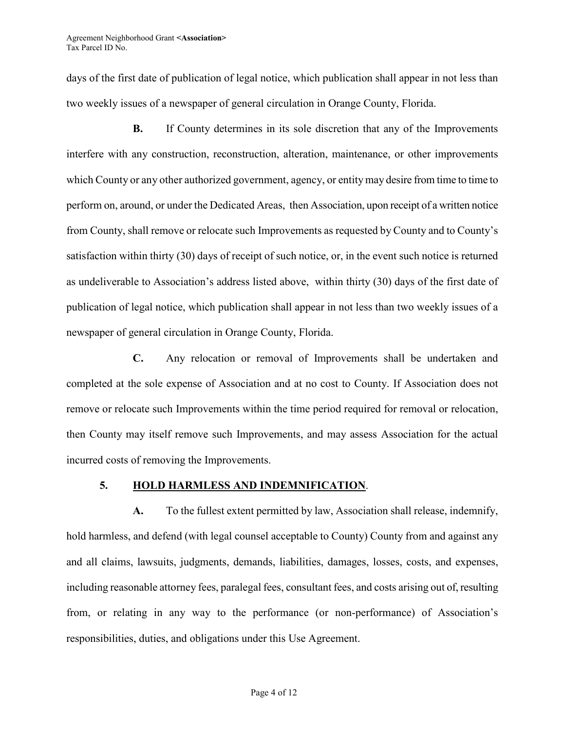days of the first date of publication of legal notice, which publication shall appear in not less than two weekly issues of a newspaper of general circulation in Orange County, Florida.

 **B.** If County determines in its sole discretion that any of the Improvements interfere with any construction, reconstruction, alteration, maintenance, or other improvements which County or any other authorized government, agency, or entity may desire from time to time to perform on, around, or under the Dedicated Areas, then Association, upon receipt of a written notice from County, shall remove or relocate such Improvements as requested by County and to County's satisfaction within thirty (30) days of receipt of such notice, or, in the event such notice is returned as undeliverable to Association's address listed above, within thirty (30) days of the first date of publication of legal notice, which publication shall appear in not less than two weekly issues of a newspaper of general circulation in Orange County, Florida.

**C.** Any relocation or removal of Improvements shall be undertaken and completed at the sole expense of Association and at no cost to County. If Association does not remove or relocate such Improvements within the time period required for removal or relocation, then County may itself remove such Improvements, and may assess Association for the actual incurred costs of removing the Improvements.

#### **5. HOLD HARMLESS AND INDEMNIFICATION**.

**A.** To the fullest extent permitted by law, Association shall release, indemnify, hold harmless, and defend (with legal counsel acceptable to County) County from and against any and all claims, lawsuits, judgments, demands, liabilities, damages, losses, costs, and expenses, including reasonable attorney fees, paralegal fees, consultant fees, and costs arising out of, resulting from, or relating in any way to the performance (or non-performance) of Association's responsibilities, duties, and obligations under this Use Agreement.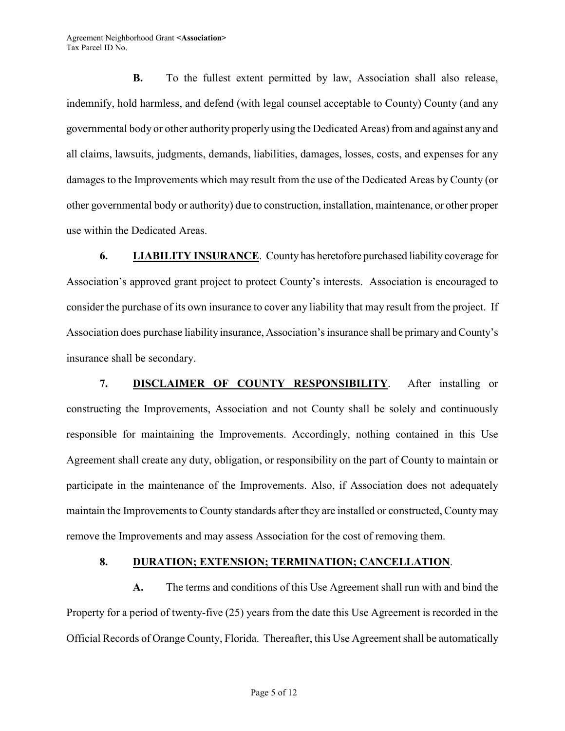**B.** To the fullest extent permitted by law, Association shall also release, indemnify, hold harmless, and defend (with legal counsel acceptable to County) County (and any governmental body or other authority properly using the Dedicated Areas) from and against any and all claims, lawsuits, judgments, demands, liabilities, damages, losses, costs, and expenses for any damages to the Improvements which may result from the use of the Dedicated Areas by County (or other governmental body or authority) due to construction, installation, maintenance, or other proper use within the Dedicated Areas.

**6. LIABILITY INSURANCE**. County has heretofore purchased liability coverage for Association's approved grant project to protect County's interests. Association is encouraged to consider the purchase of its own insurance to cover any liability that may result from the project. If Association does purchase liability insurance, Association's insurance shall be primary and County's insurance shall be secondary.

**7. DISCLAIMER OF COUNTY RESPONSIBILITY**. After installing or constructing the Improvements, Association and not County shall be solely and continuously responsible for maintaining the Improvements. Accordingly, nothing contained in this Use Agreement shall create any duty, obligation, or responsibility on the part of County to maintain or participate in the maintenance of the Improvements. Also, if Association does not adequately maintain the Improvements to County standards after they are installed or constructed, County may remove the Improvements and may assess Association for the cost of removing them.

#### **8. DURATION; EXTENSION; TERMINATION; CANCELLATION**.

**A.** The terms and conditions of this Use Agreement shall run with and bind the Property for a period of twenty-five (25) years from the date this Use Agreement is recorded in the Official Records of Orange County, Florida. Thereafter, this Use Agreement shall be automatically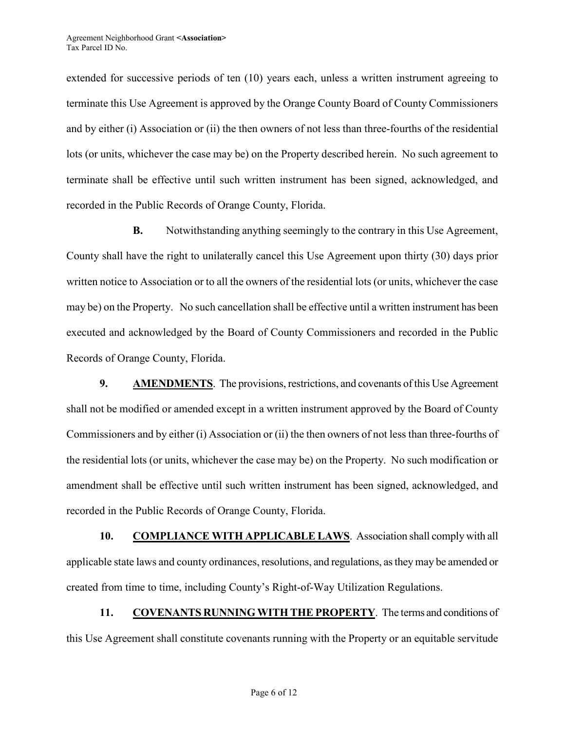extended for successive periods of ten (10) years each, unless a written instrument agreeing to terminate this Use Agreement is approved by the Orange County Board of County Commissioners and by either (i) Association or (ii) the then owners of not less than three-fourths of the residential lots (or units, whichever the case may be) on the Property described herein. No such agreement to terminate shall be effective until such written instrument has been signed, acknowledged, and recorded in the Public Records of Orange County, Florida.

**B.** Notwithstanding anything seemingly to the contrary in this Use Agreement, County shall have the right to unilaterally cancel this Use Agreement upon thirty (30) days prior written notice to Association or to all the owners of the residential lots (or units, whichever the case may be) on the Property. No such cancellation shall be effective until a written instrument has been executed and acknowledged by the Board of County Commissioners and recorded in the Public Records of Orange County, Florida.

**9. AMENDMENTS**. The provisions, restrictions, and covenants of this Use Agreement shall not be modified or amended except in a written instrument approved by the Board of County Commissioners and by either (i) Association or (ii) the then owners of not less than three-fourths of the residential lots (or units, whichever the case may be) on the Property. No such modification or amendment shall be effective until such written instrument has been signed, acknowledged, and recorded in the Public Records of Orange County, Florida.

**10. COMPLIANCE WITH APPLICABLE LAWS**. Association shall comply with all applicable state laws and county ordinances, resolutions, and regulations, as they may be amended or created from time to time, including County's Right-of-Way Utilization Regulations.

**11. COVENANTS RUNNING WITH THE PROPERTY**. The terms and conditions of this Use Agreement shall constitute covenants running with the Property or an equitable servitude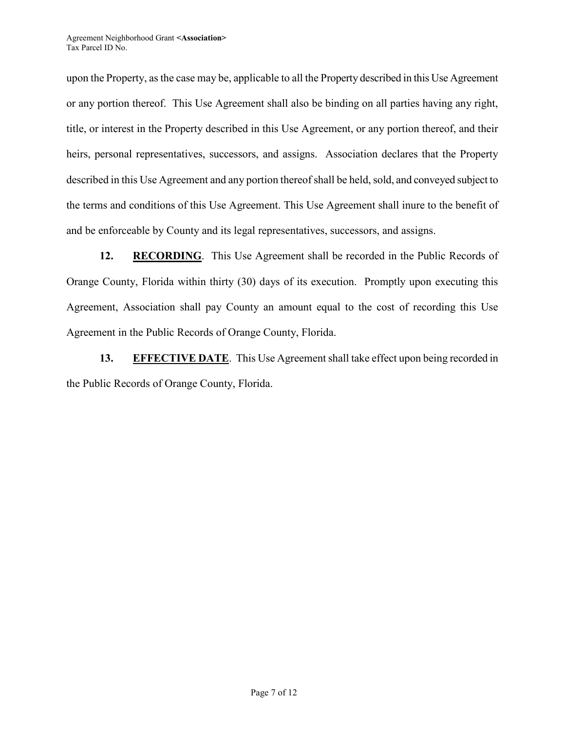upon the Property, as the case may be, applicable to all the Property described in this Use Agreement or any portion thereof. This Use Agreement shall also be binding on all parties having any right, title, or interest in the Property described in this Use Agreement, or any portion thereof, and their heirs, personal representatives, successors, and assigns. Association declares that the Property described in this Use Agreement and any portion thereof shall be held, sold, and conveyed subject to the terms and conditions of this Use Agreement. This Use Agreement shall inure to the benefit of and be enforceable by County and its legal representatives, successors, and assigns.

**12. RECORDING**. This Use Agreement shall be recorded in the Public Records of Orange County, Florida within thirty (30) days of its execution. Promptly upon executing this Agreement, Association shall pay County an amount equal to the cost of recording this Use Agreement in the Public Records of Orange County, Florida.

**13. EFFECTIVE DATE**. This Use Agreement shall take effect upon being recorded in the Public Records of Orange County, Florida.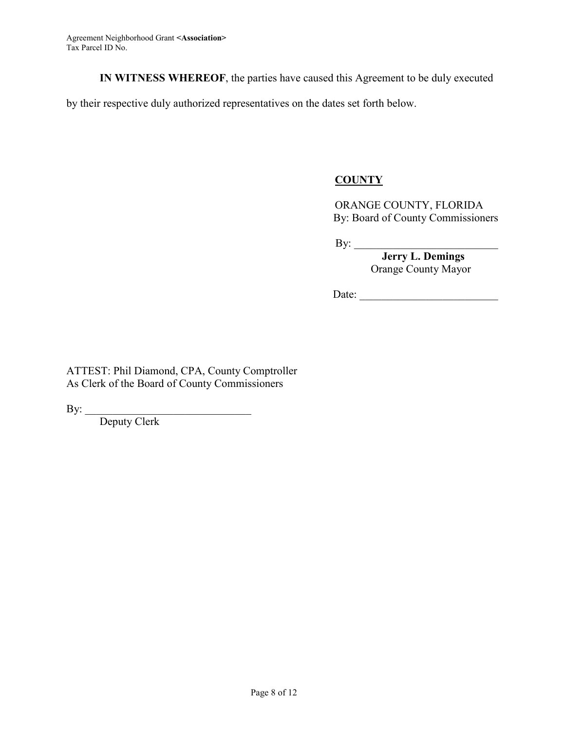**IN WITNESS WHEREOF**, the parties have caused this Agreement to be duly executed

by their respective duly authorized representatives on the dates set forth below.

# **COUNTY**

ORANGE COUNTY, FLORIDA By: Board of County Commissioners

By: \_\_\_\_\_\_\_\_\_\_\_\_\_\_\_\_\_\_\_\_\_\_\_\_\_\_

 **Jerry L. Demings**  Orange County Mayor

Date: \_\_\_\_\_\_\_\_\_\_\_\_\_\_\_\_\_\_\_\_\_\_\_\_\_

ATTEST: Phil Diamond, CPA, County Comptroller As Clerk of the Board of County Commissioners

 $\overline{\phantom{a}}$  , and the set of the set of the set of the set of the set of the set of the set of the set of the set of the set of the set of the set of the set of the set of the set of the set of the set of the set of the s

By:

Deputy Clerk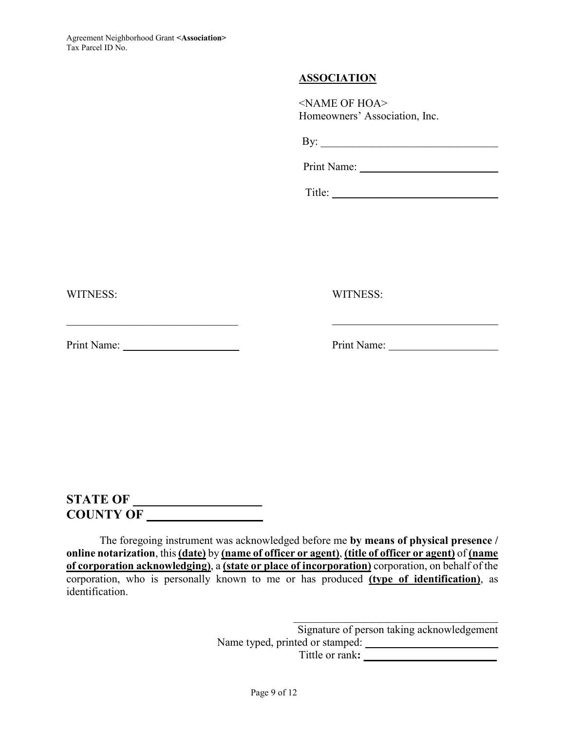## **ASSOCIATION**

<NAME OF HOA> Homeowners' Association, Inc.

By: \_\_\_\_\_\_\_\_\_\_\_\_\_\_\_\_\_\_\_\_\_\_\_\_\_\_\_\_\_\_\_\_

Print Name: \_\_\_\_\_\_\_\_\_\_\_\_\_\_\_\_\_\_\_\_\_\_\_\_\_

Title:

WITNESS: WITNESS:

Print Name: \_\_\_\_\_\_\_\_\_\_\_\_\_\_\_\_\_\_\_\_\_ Print Name:

 $\mathcal{L}_\text{max}$  , and the set of the set of the set of the set of the set of the set of the set of the set of the set of the set of the set of the set of the set of the set of the set of the set of the set of the set of the

**STATE OF \_\_\_\_\_\_\_\_\_\_\_\_\_\_\_\_\_\_\_\_ COUNTY OF \_\_\_\_\_\_\_\_\_\_\_\_\_\_\_\_\_\_** 

The foregoing instrument was acknowledged before me **by means of physical presence / online notarization**, this **(date)** by **(name of officer or agent)**, **(title of officer or agent)** of **(name of corporation acknowledging)**, a **(state or place of incorporation)** corporation, on behalf of the corporation, who is personally known to me or has produced **(type of identification)**, as identification.

> Signature of person taking acknowledgement Name typed, printed or stamped: **\_\_\_\_\_\_\_\_\_\_\_\_\_\_\_\_\_\_\_\_\_\_\_\_**  Tittle or rank**: \_\_\_\_\_\_\_\_\_\_\_\_\_\_\_\_\_\_\_\_\_\_\_\_**

\_\_\_\_\_\_\_\_\_\_\_\_\_\_\_\_\_\_\_\_\_\_\_\_\_\_\_\_\_\_\_\_\_\_\_\_\_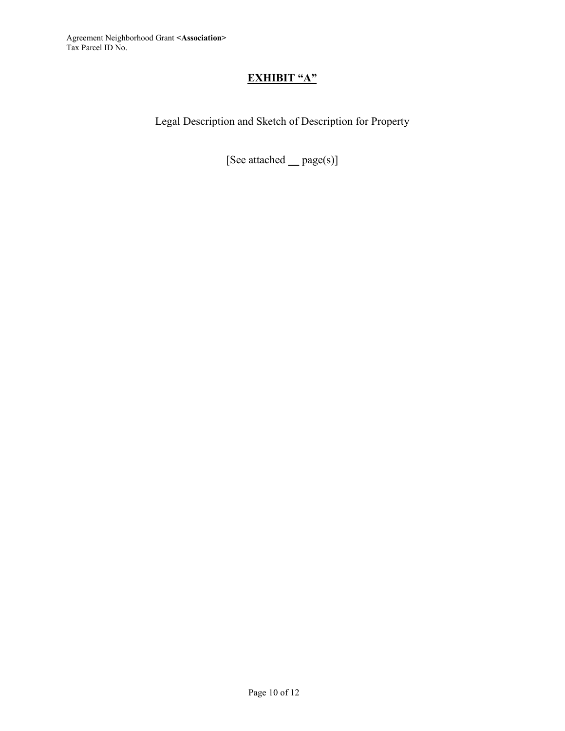# **EXHIBIT "A"**

Legal Description and Sketch of Description for Property

[See attached **\_\_** page(s)]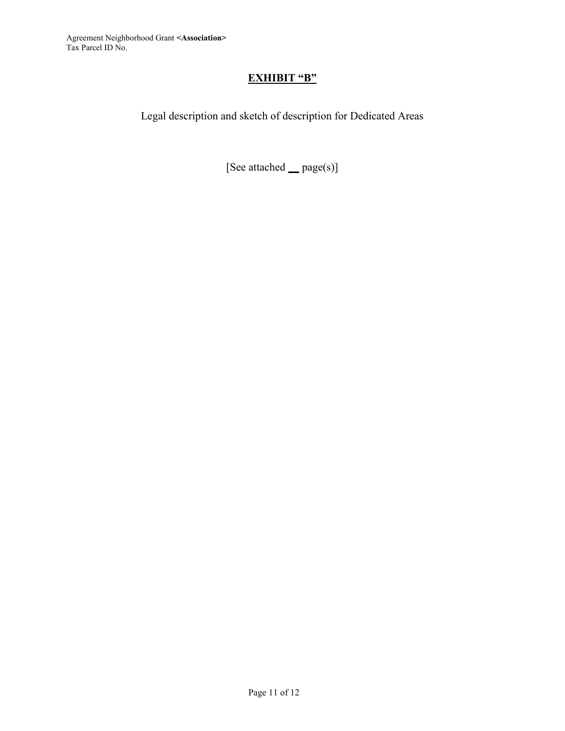# **EXHIBIT "B"**

Legal description and sketch of description for Dedicated Areas

[See attached **\_\_** page(s)]